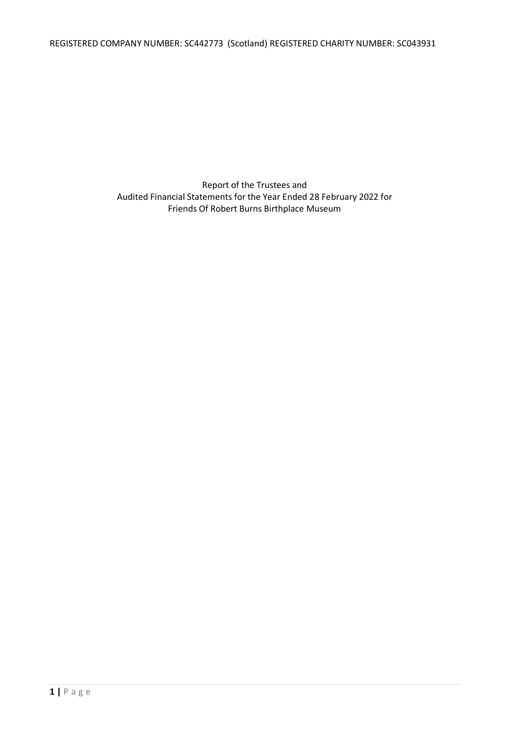REGISTERED COMPANY NUMBER: SC442773 (Scotland) REGISTERED CHARITY NUMBER: SC043931

Report of the Trustees and Audited Financial Statements for the Year Ended 28 February 2022 for Friends Of Robert Burns Birthplace Museum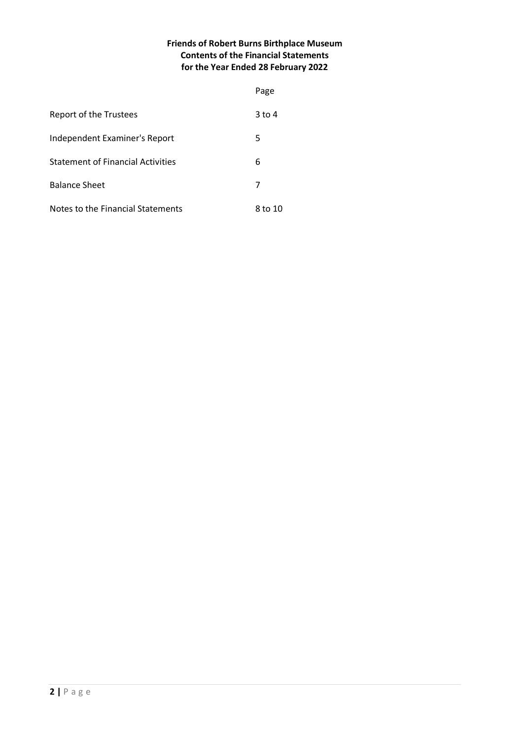# **Friends of Robert Burns Birthplace Museum Contents of the Financial Statements for the Year Ended 28 February 2022**

|                                          | Page    |
|------------------------------------------|---------|
| Report of the Trustees                   | 3 to 4  |
| Independent Examiner's Report            | 5       |
| <b>Statement of Financial Activities</b> | 6       |
| <b>Balance Sheet</b>                     | 7       |
| Notes to the Financial Statements        | 8 to 10 |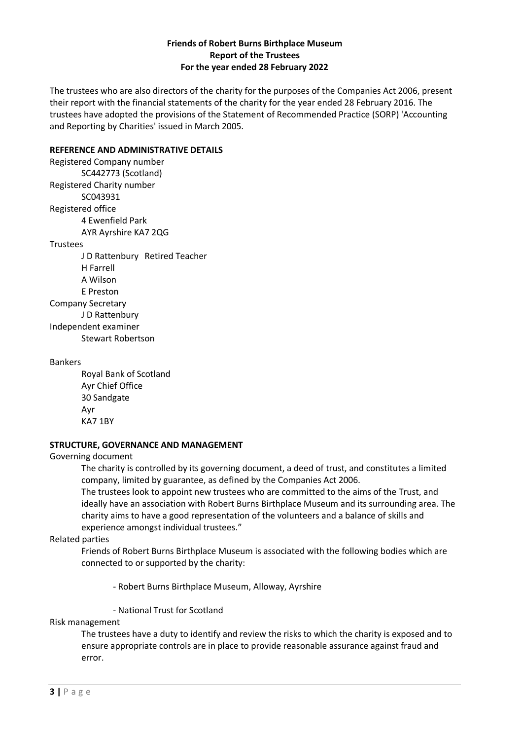## **Friends of Robert Burns Birthplace Museum Report of the Trustees For the year ended 28 February 2022**

The trustees who are also directors of the charity for the purposes of the Companies Act 2006, present their report with the financial statements of the charity for the year ended 28 February 2016. The trustees have adopted the provisions of the Statement of Recommended Practice (SORP) 'Accounting and Reporting by Charities' issued in March 2005.

# **REFERENCE AND ADMINISTRATIVE DETAILS**

Registered Company number SC442773 (Scotland) Registered Charity number SC043931 Registered office 4 Ewenfield Park AYR Ayrshire KA7 2QG **Trustees** J D Rattenbury Retired Teacher H Farrell A Wilson E Preston Company Secretary J D Rattenbury Independent examiner Stewart Robertson

Bankers

Royal Bank of Scotland Ayr Chief Office 30 Sandgate Ayr KA7 1BY

### **STRUCTURE, GOVERNANCE AND MANAGEMENT**

Governing document

The charity is controlled by its governing document, a deed of trust, and constitutes a limited company, limited by guarantee, as defined by the Companies Act 2006.

The trustees look to appoint new trustees who are committed to the aims of the Trust, and ideally have an association with Robert Burns Birthplace Museum and its surrounding area. The charity aims to have a good representation of the volunteers and a balance of skills and experience amongst individual trustees."

Related parties

Friends of Robert Burns Birthplace Museum is associated with the following bodies which are connected to or supported by the charity:

- Robert Burns Birthplace Museum, Alloway, Ayrshire

- National Trust for Scotland

#### Risk management

The trustees have a duty to identify and review the risks to which the charity is exposed and to ensure appropriate controls are in place to provide reasonable assurance against fraud and error.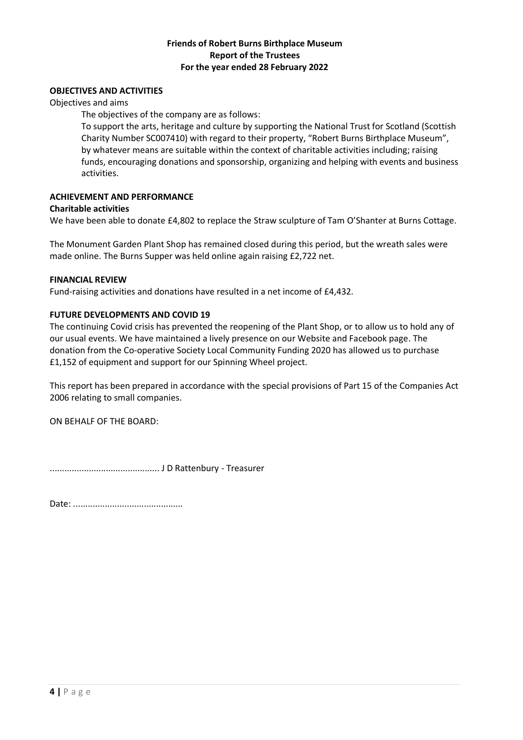## **Friends of Robert Burns Birthplace Museum Report of the Trustees For the year ended 28 February 2022**

## **OBJECTIVES AND ACTIVITIES**

Objectives and aims

The objectives of the company are as follows:

To support the arts, heritage and culture by supporting the National Trust for Scotland (Scottish Charity Number SC007410) with regard to their property, "Robert Burns Birthplace Museum", by whatever means are suitable within the context of charitable activities including; raising funds, encouraging donations and sponsorship, organizing and helping with events and business activities.

## **ACHIEVEMENT AND PERFORMANCE**

#### **Charitable activities**

We have been able to donate £4,802 to replace the Straw sculpture of Tam O'Shanter at Burns Cottage.

The Monument Garden Plant Shop has remained closed during this period, but the wreath sales were made online. The Burns Supper was held online again raising £2,722 net.

#### **FINANCIAL REVIEW**

Fund-raising activities and donations have resulted in a net income of £4,432.

#### **FUTURE DEVELOPMENTS AND COVID 19**

The continuing Covid crisis has prevented the reopening of the Plant Shop, or to allow us to hold any of our usual events. We have maintained a lively presence on our Website and Facebook page. The donation from the Co-operative Society Local Community Funding 2020 has allowed us to purchase £1,152 of equipment and support for our Spinning Wheel project.

This report has been prepared in accordance with the special provisions of Part 15 of the Companies Act 2006 relating to small companies.

ON BEHALF OF THE BOARD:

............................................. J D Rattenbury - Treasurer

Date: .............................................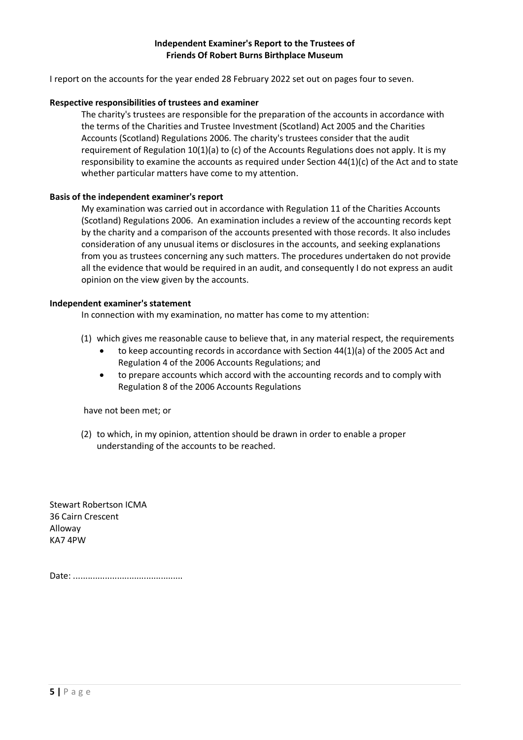## **Independent Examiner's Report to the Trustees of Friends Of Robert Burns Birthplace Museum**

I report on the accounts for the year ended 28 February 2022 set out on pages four to seven.

### **Respective responsibilities of trustees and examiner**

The charity's trustees are responsible for the preparation of the accounts in accordance with the terms of the Charities and Trustee Investment (Scotland) Act 2005 and the Charities Accounts (Scotland) Regulations 2006. The charity's trustees consider that the audit requirement of Regulation 10(1)(a) to (c) of the Accounts Regulations does not apply. It is my responsibility to examine the accounts as required under Section 44(1)(c) of the Act and to state whether particular matters have come to my attention.

#### **Basis of the independent examiner's report**

My examination was carried out in accordance with Regulation 11 of the Charities Accounts (Scotland) Regulations 2006. An examination includes a review of the accounting records kept by the charity and a comparison of the accounts presented with those records. It also includes consideration of any unusual items or disclosures in the accounts, and seeking explanations from you as trustees concerning any such matters. The procedures undertaken do not provide all the evidence that would be required in an audit, and consequently I do not express an audit opinion on the view given by the accounts.

#### **Independent examiner's statement**

In connection with my examination, no matter has come to my attention:

- (1) which gives me reasonable cause to believe that, in any material respect, the requirements
	- to keep accounting records in accordance with Section 44(1)(a) of the 2005 Act and Regulation 4 of the 2006 Accounts Regulations; and
	- to prepare accounts which accord with the accounting records and to comply with Regulation 8 of the 2006 Accounts Regulations

have not been met; or

(2) to which, in my opinion, attention should be drawn in order to enable a proper understanding of the accounts to be reached.

Stewart Robertson ICMA 36 Cairn Crescent Alloway KA7 4PW

Date: .............................................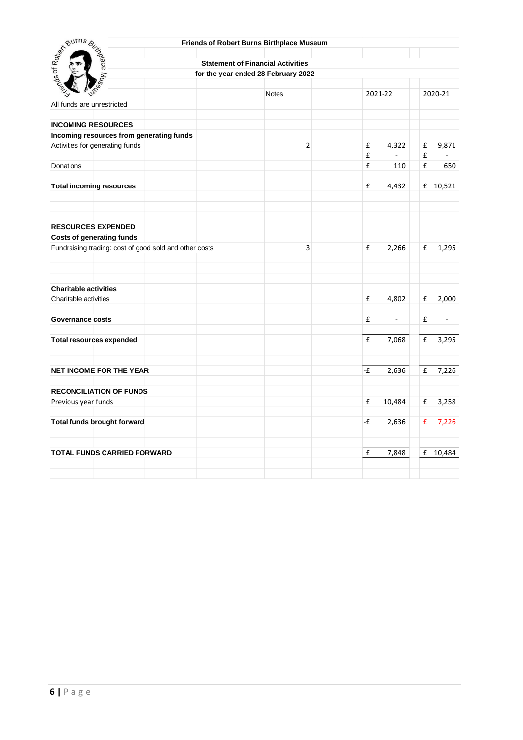| rds of Roder, July 3                                   |  | Friends of Robert Burns Birthplace Museum |                |    |                          |   |          |
|--------------------------------------------------------|--|-------------------------------------------|----------------|----|--------------------------|---|----------|
|                                                        |  |                                           |                |    |                          |   |          |
| place                                                  |  | <b>Statement of Financial Activities</b>  |                |    |                          |   |          |
|                                                        |  | for the year ended 28 February 2022       |                |    |                          |   |          |
|                                                        |  |                                           |                |    |                          |   |          |
|                                                        |  | <b>Notes</b>                              |                |    | 2021-22                  |   | 2020-21  |
| All funds are unrestricted                             |  |                                           |                |    |                          |   |          |
| <b>INCOMING RESOURCES</b>                              |  |                                           |                |    |                          |   |          |
| Incoming resources from generating funds               |  |                                           |                |    |                          |   |          |
| Activities for generating funds                        |  |                                           | $\overline{2}$ | £  | 4,322                    | £ | 9,871    |
|                                                        |  |                                           |                | £  | $\overline{a}$           | £ |          |
| Donations                                              |  |                                           |                | £  | 110                      | £ | 650      |
| <b>Total incoming resources</b>                        |  |                                           |                | £  | 4,432                    |   | £ 10,521 |
|                                                        |  |                                           |                |    |                          |   |          |
| <b>RESOURCES EXPENDED</b>                              |  |                                           |                |    |                          |   |          |
| <b>Costs of generating funds</b>                       |  |                                           |                |    |                          |   |          |
| Fundraising trading: cost of good sold and other costs |  |                                           | $\overline{3}$ | £  | 2,266                    | £ | 1,295    |
| <b>Charitable activities</b>                           |  |                                           |                |    |                          |   |          |
| Charitable activities                                  |  |                                           |                | £  | 4,802                    | £ | 2,000    |
| <b>Governance costs</b>                                |  |                                           |                | £  | $\overline{\phantom{a}}$ | £ | L.       |
| <b>Total resources expended</b>                        |  |                                           |                | £  | 7,068                    | £ | 3,295    |
| <b>NET INCOME FOR THE YEAR</b>                         |  |                                           |                | -£ | 2,636                    | £ | 7,226    |
| <b>RECONCILIATION OF FUNDS</b>                         |  |                                           |                |    |                          |   |          |
| Previous year funds                                    |  |                                           |                | £  | 10,484                   | £ | 3,258    |
| Total funds brought forward                            |  |                                           |                | -£ | 2,636                    | £ | 7,226    |
| TOTAL FUNDS CARRIED FORWARD                            |  |                                           |                | £  | 7,848                    |   | £ 10,484 |
|                                                        |  |                                           |                |    |                          |   |          |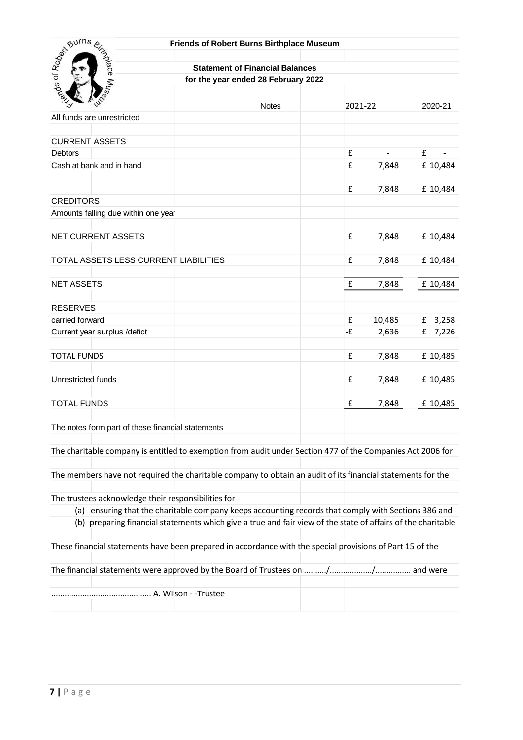|                                                                                                              |  | <b>Friends of Robert Burns Birthplace Museum</b>    |              |                                                                                                             |  |         |    |        |         |            |  |  |  |
|--------------------------------------------------------------------------------------------------------------|--|-----------------------------------------------------|--------------|-------------------------------------------------------------------------------------------------------------|--|---------|----|--------|---------|------------|--|--|--|
|                                                                                                              |  |                                                     |              |                                                                                                             |  |         |    |        |         |            |  |  |  |
|                                                                                                              |  |                                                     |              | <b>Statement of Financial Balances</b>                                                                      |  |         |    |        |         |            |  |  |  |
| for the year ended 28 February 2022                                                                          |  |                                                     |              |                                                                                                             |  |         |    |        |         |            |  |  |  |
| From Book Manus                                                                                              |  |                                                     | <b>Notes</b> |                                                                                                             |  | 2021-22 |    |        | 2020-21 |            |  |  |  |
| All funds are unrestricted                                                                                   |  |                                                     |              |                                                                                                             |  |         |    |        |         |            |  |  |  |
| <b>CURRENT ASSETS</b>                                                                                        |  |                                                     |              |                                                                                                             |  |         |    |        |         |            |  |  |  |
| <b>Debtors</b>                                                                                               |  |                                                     |              |                                                                                                             |  |         | £  |        |         | £          |  |  |  |
| Cash at bank and in hand                                                                                     |  |                                                     |              |                                                                                                             |  |         | £  | 7,848  |         | £ 10,484   |  |  |  |
|                                                                                                              |  |                                                     |              |                                                                                                             |  |         |    |        |         |            |  |  |  |
|                                                                                                              |  |                                                     |              |                                                                                                             |  |         | £  | 7,848  |         | £ 10,484   |  |  |  |
| <b>CREDITORS</b>                                                                                             |  |                                                     |              |                                                                                                             |  |         |    |        |         |            |  |  |  |
|                                                                                                              |  | Amounts falling due within one year                 |              |                                                                                                             |  |         |    |        |         |            |  |  |  |
| <b>NET CURRENT ASSETS</b>                                                                                    |  |                                                     |              |                                                                                                             |  |         | £  | 7,848  |         | £ 10,484   |  |  |  |
|                                                                                                              |  | TOTAL ASSETS LESS CURRENT LIABILITIES               |              |                                                                                                             |  |         | £  | 7,848  |         | £ 10,484   |  |  |  |
|                                                                                                              |  |                                                     |              |                                                                                                             |  |         |    |        |         |            |  |  |  |
| <b>NET ASSETS</b>                                                                                            |  |                                                     |              |                                                                                                             |  |         | £  | 7,848  |         | £ 10,484   |  |  |  |
| <b>RESERVES</b>                                                                                              |  |                                                     |              |                                                                                                             |  |         |    |        |         |            |  |  |  |
| carried forward                                                                                              |  |                                                     |              |                                                                                                             |  |         | £  | 10,485 |         | 3,258<br>f |  |  |  |
| Current year surplus /defict                                                                                 |  |                                                     |              |                                                                                                             |  |         | -£ | 2,636  |         | 7,226<br>£ |  |  |  |
| <b>TOTAL FUNDS</b>                                                                                           |  |                                                     |              |                                                                                                             |  |         | £  | 7,848  |         | £ 10,485   |  |  |  |
| Unrestricted funds                                                                                           |  |                                                     |              |                                                                                                             |  |         | £  | 7,848  |         | £10,485    |  |  |  |
|                                                                                                              |  |                                                     |              |                                                                                                             |  |         |    |        |         |            |  |  |  |
| <b>TOTAL FUNDS</b>                                                                                           |  |                                                     |              |                                                                                                             |  |         | £  | 7,848  |         | £10,485    |  |  |  |
|                                                                                                              |  | The notes form part of these financial statements   |              |                                                                                                             |  |         |    |        |         |            |  |  |  |
|                                                                                                              |  |                                                     |              | The charitable company is entitled to exemption from audit under Section 477 of the Companies Act 2006 for  |  |         |    |        |         |            |  |  |  |
|                                                                                                              |  |                                                     |              |                                                                                                             |  |         |    |        |         |            |  |  |  |
|                                                                                                              |  |                                                     |              | The members have not required the charitable company to obtain an audit of its financial statements for the |  |         |    |        |         |            |  |  |  |
|                                                                                                              |  | The trustees acknowledge their responsibilities for |              |                                                                                                             |  |         |    |        |         |            |  |  |  |
| (a) ensuring that the charitable company keeps accounting records that comply with Sections 386 and          |  |                                                     |              |                                                                                                             |  |         |    |        |         |            |  |  |  |
| (b) preparing financial statements which give a true and fair view of the state of affairs of the charitable |  |                                                     |              |                                                                                                             |  |         |    |        |         |            |  |  |  |
|                                                                                                              |  |                                                     |              |                                                                                                             |  |         |    |        |         |            |  |  |  |
|                                                                                                              |  |                                                     |              | These financial statements have been prepared in accordance with the special provisions of Part 15 of the   |  |         |    |        |         |            |  |  |  |
|                                                                                                              |  |                                                     |              |                                                                                                             |  |         |    |        |         |            |  |  |  |
|                                                                                                              |  |                                                     |              |                                                                                                             |  |         |    |        |         |            |  |  |  |
|                                                                                                              |  |                                                     |              |                                                                                                             |  |         |    |        |         |            |  |  |  |
|                                                                                                              |  | A. Wilson - -Trustee                                |              |                                                                                                             |  |         |    |        |         |            |  |  |  |
|                                                                                                              |  |                                                     |              |                                                                                                             |  |         |    |        |         |            |  |  |  |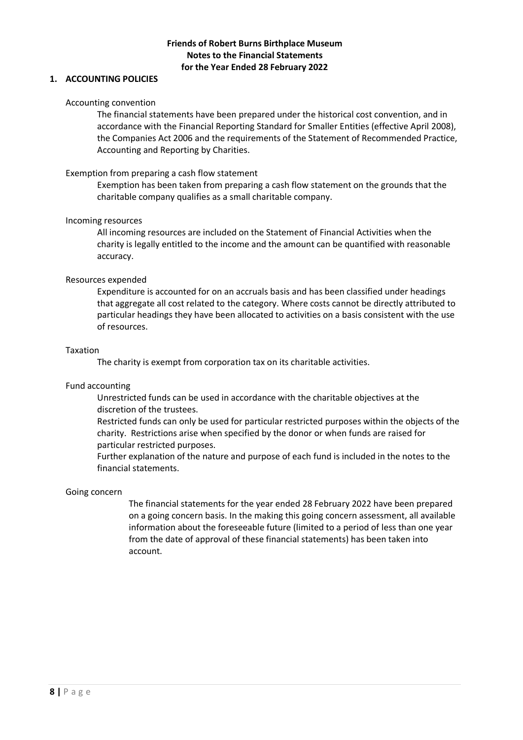## **Friends of Robert Burns Birthplace Museum Notes to the Financial Statements for the Year Ended 28 February 2022**

## **1. ACCOUNTING POLICIES**

### Accounting convention

The financial statements have been prepared under the historical cost convention, and in accordance with the Financial Reporting Standard for Smaller Entities (effective April 2008), the Companies Act 2006 and the requirements of the Statement of Recommended Practice, Accounting and Reporting by Charities.

### Exemption from preparing a cash flow statement

Exemption has been taken from preparing a cash flow statement on the grounds that the charitable company qualifies as a small charitable company.

### Incoming resources

All incoming resources are included on the Statement of Financial Activities when the charity is legally entitled to the income and the amount can be quantified with reasonable accuracy.

### Resources expended

Expenditure is accounted for on an accruals basis and has been classified under headings that aggregate all cost related to the category. Where costs cannot be directly attributed to particular headings they have been allocated to activities on a basis consistent with the use of resources.

#### Taxation

The charity is exempt from corporation tax on its charitable activities.

### Fund accounting

Unrestricted funds can be used in accordance with the charitable objectives at the discretion of the trustees.

Restricted funds can only be used for particular restricted purposes within the objects of the charity. Restrictions arise when specified by the donor or when funds are raised for particular restricted purposes.

Further explanation of the nature and purpose of each fund is included in the notes to the financial statements.

### Going concern

The financial statements for the year ended 28 February 2022 have been prepared on a going concern basis. In the making this going concern assessment, all available information about the foreseeable future (limited to a period of less than one year from the date of approval of these financial statements) has been taken into account.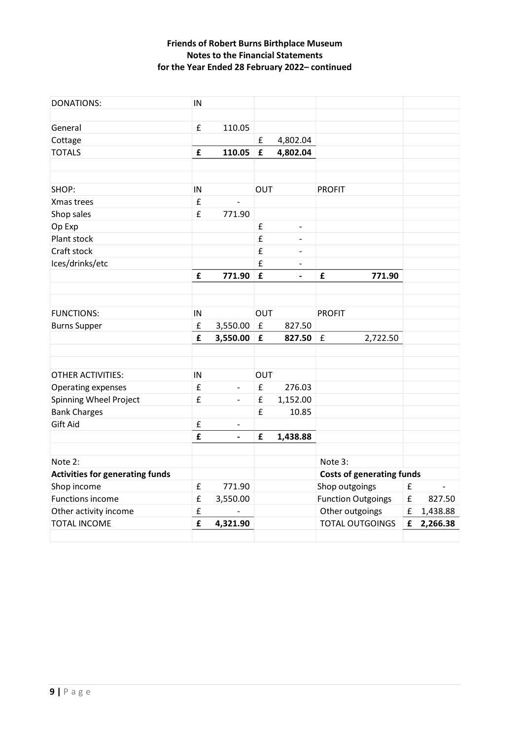# **Friends of Robert Burns Birthplace Museum Notes to the Financial Statements for the Year Ended 28 February 2022– continued**

| <b>DONATIONS:</b>                                     | IN                 |                              |                    |                              |                                             |   |          |
|-------------------------------------------------------|--------------------|------------------------------|--------------------|------------------------------|---------------------------------------------|---|----------|
|                                                       |                    |                              |                    |                              |                                             |   |          |
| General                                               | £                  | 110.05                       |                    |                              |                                             |   |          |
| Cottage                                               |                    |                              | £                  | 4,802.04                     |                                             |   |          |
| <b>TOTALS</b>                                         | £                  | 110.05                       | £                  | 4,802.04                     |                                             |   |          |
|                                                       |                    |                              |                    |                              |                                             |   |          |
| SHOP:                                                 | IN                 |                              | OUT                |                              | <b>PROFIT</b>                               |   |          |
| Xmas trees                                            | £                  |                              |                    |                              |                                             |   |          |
| Shop sales                                            | £                  | 771.90                       |                    |                              |                                             |   |          |
| Op Exp                                                |                    |                              | £                  | $\qquad \qquad \blacksquare$ |                                             |   |          |
| Plant stock                                           |                    |                              | £                  |                              |                                             |   |          |
| Craft stock                                           |                    |                              | £                  | $\overline{\phantom{a}}$     |                                             |   |          |
| Ices/drinks/etc                                       |                    |                              | £                  | $\qquad \qquad -$            |                                             |   |          |
|                                                       | £                  | 771.90                       | £                  | $\qquad \qquad \blacksquare$ | £<br>771.90                                 |   |          |
|                                                       |                    |                              |                    |                              |                                             |   |          |
|                                                       |                    |                              |                    |                              |                                             |   |          |
| <b>FUNCTIONS:</b>                                     | IN                 |                              | <b>OUT</b>         |                              | <b>PROFIT</b>                               |   |          |
| <b>Burns Supper</b>                                   | £                  | 3,550.00                     | $\pmb{\mathsf{f}}$ | 827.50                       |                                             |   |          |
|                                                       | £                  | 3,550.00                     | $\mathbf f$        | 827.50                       | £<br>2,722.50                               |   |          |
|                                                       |                    |                              |                    |                              |                                             |   |          |
|                                                       |                    |                              |                    |                              |                                             |   |          |
| <b>OTHER ACTIVITIES:</b>                              | IN                 |                              | <b>OUT</b>         |                              |                                             |   |          |
| Operating expenses                                    | £                  | $\qquad \qquad \blacksquare$ | £                  | 276.03                       |                                             |   |          |
| Spinning Wheel Project                                | £                  | $\overline{a}$               | £                  | 1,152.00                     |                                             |   |          |
| <b>Bank Charges</b>                                   |                    |                              | £                  | 10.85                        |                                             |   |          |
| Gift Aid                                              | $\mathbf f$        | $\qquad \qquad \blacksquare$ |                    |                              |                                             |   |          |
|                                                       | £                  | $\blacksquare$               | £                  | 1,438.88                     |                                             |   |          |
| Note 2:                                               |                    |                              |                    |                              |                                             |   |          |
|                                                       |                    |                              |                    |                              | Note 3:                                     |   |          |
| <b>Activities for generating funds</b><br>Shop income | $\pmb{\mathsf{f}}$ | 771.90                       |                    |                              | <b>Costs of generating funds</b><br>£       |   |          |
| <b>Functions income</b>                               | £                  | 3,550.00                     |                    |                              | Shop outgoings<br><b>Function Outgoings</b> | £ | 827.50   |
| Other activity income                                 | £                  |                              |                    |                              | Other outgoings                             | £ | 1,438.88 |
| <b>TOTAL INCOME</b>                                   | £                  | 4,321.90                     |                    |                              | <b>TOTAL OUTGOINGS</b>                      | £ | 2,266.38 |
|                                                       |                    |                              |                    |                              |                                             |   |          |